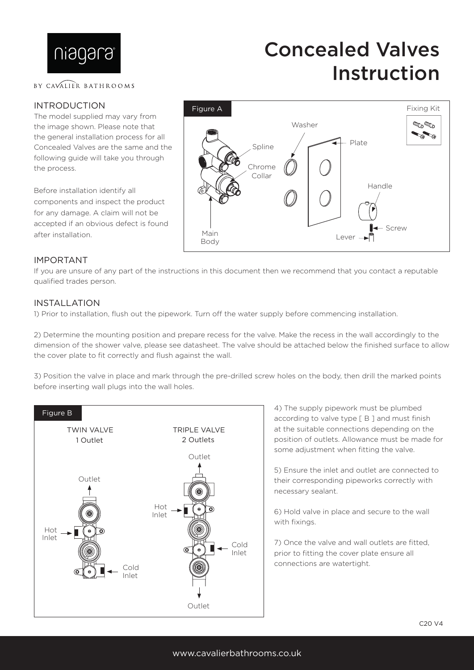

### BY CAVALIER BATHROOMS

### INTRODUCTION

The model supplied may vary from the image shown. Please note that the general installation process for all Concealed Valves are the same and the following guide will take you through the process.

Before installation identify all components and inspect the product for any damage. A claim will not be accepted if an obvious defect is found after installation.



Concealed Valves

Instruction

### IMPORTANT

If you are unsure of any part of the instructions in this document then we recommend that you contact a reputable qualified trades person.

### INSTALLATION

1) Prior to installation, flush out the pipework. Turn off the water supply before commencing installation.

2) Determine the mounting position and prepare recess for the valve. Make the recess in the wall accordingly to the dimension of the shower valve, please see datasheet. The valve should be attached below the finished surface to allow the cover plate to fit correctly and flush against the wall.

3) Position the valve in place and mark through the pre-drilled screw holes on the body, then drill the marked points before inserting wall plugs into the wall holes.



4) The supply pipework must be plumbed according to valve type [ B ] and must finish at the suitable connections depending on the position of outlets. Allowance must be made for some adjustment when fitting the valve.

5) Ensure the inlet and outlet are connected to their corresponding pipeworks correctly with necessary sealant.

6) Hold valve in place and secure to the wall with fixings.

7) Once the valve and wall outlets are fitted, prior to fitting the cover plate ensure all connections are watertight.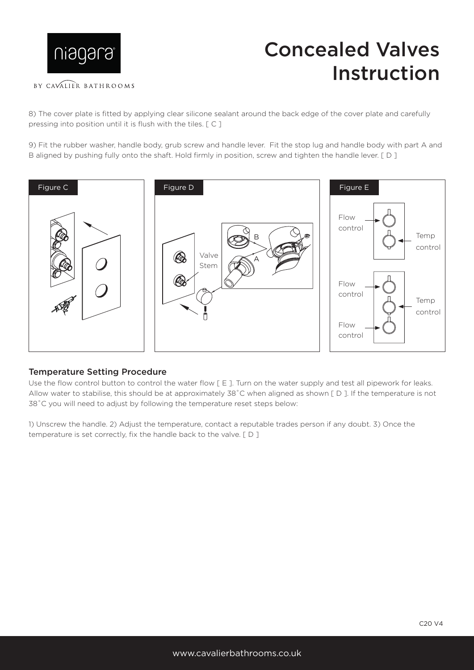

## Concealed Valves Instruction

### BY CAVALIER BATHROOMS

8) The cover plate is fitted by applying clear silicone sealant around the back edge of the cover plate and carefully pressing into position until it is flush with the tiles. [ C ]

9) Fit the rubber washer, handle body, grub screw and handle lever. Fit the stop lug and handle body with part A and B aligned by pushing fully onto the shaft. Hold firmly in position, screw and tighten the handle lever. [ D ]



### Temperature Setting Procedure

Use the flow control button to control the water flow [E]. Turn on the water supply and test all pipework for leaks. Allow water to stabilise, this should be at approximately 38°C when aligned as shown [D]. If the temperature is not 38˚C you will need to adjust by following the temperature reset steps below:

1) Unscrew the handle. 2) Adjust the temperature, contact a reputable trades person if any doubt. 3) Once the temperature is set correctly, fix the handle back to the valve. [ D ]